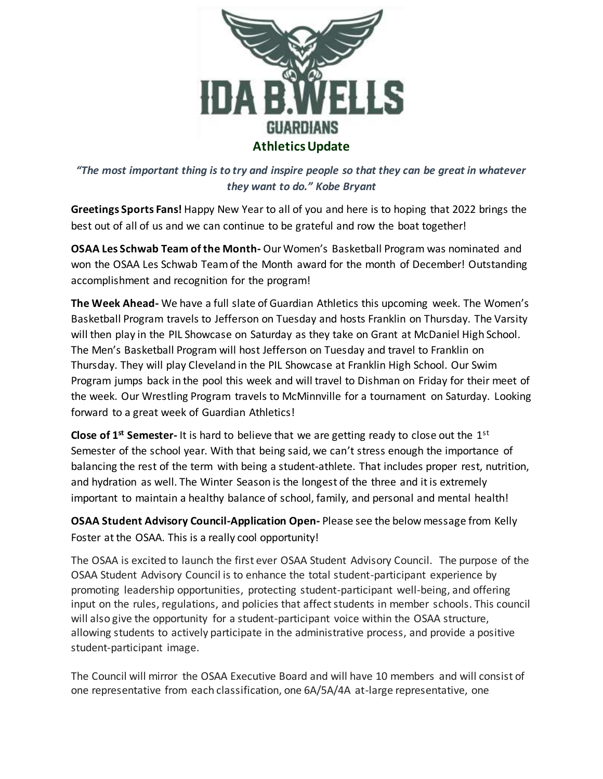

*"The most important thing is to try and inspire people so that they can be great in whatever they want to do." Kobe Bryant*

**Greetings Sports Fans!** Happy New Year to all of you and here is to hoping that 2022 brings the best out of all of us and we can continue to be grateful and row the boat together!

**OSAA Les Schwab Team of the Month-** Our Women's Basketball Program was nominated and won the OSAA Les Schwab Team of the Month award for the month of December! Outstanding accomplishment and recognition for the program!

**The Week Ahead-** We have a full slate of Guardian Athletics this upcoming week. The Women's Basketball Program travels to Jefferson on Tuesday and hosts Franklin on Thursday. The Varsity will then play in the PIL Showcase on Saturday as they take on Grant at McDaniel High School. The Men's Basketball Program will host Jefferson on Tuesday and travel to Franklin on Thursday. They will play Cleveland in the PIL Showcase at Franklin High School. Our Swim Program jumps back in the pool this week and will travel to Dishman on Friday for their meet of the week. Our Wrestling Program travels to McMinnville for a tournament on Saturday. Looking forward to a great week of Guardian Athletics!

**Close of 1<sup>st</sup> Semester-** It is hard to believe that we are getting ready to close out the 1<sup>st</sup> Semester of the school year. With that being said, we can't stress enough the importance of balancing the rest of the term with being a student-athlete. That includes proper rest, nutrition, and hydration as well. The Winter Season is the longest of the three and it is extremely important to maintain a healthy balance of school, family, and personal and mental health!

**OSAA Student Advisory Council-Application Open-** Please see the below message from Kelly Foster at the OSAA. This is a really cool opportunity!

The OSAA is excited to launch the first ever OSAA Student Advisory Council. The purpose of the OSAA Student Advisory Council is to enhance the total student-participant experience by promoting leadership opportunities, protecting student-participant well-being, and offering input on the rules, regulations, and policies that affect students in member schools. This council will also give the opportunity for a student-participant voice within the OSAA structure, allowing students to actively participate in the administrative process, and provide a positive student-participant image.

The Council will mirror the OSAA Executive Board and will have 10 members and will consist of one representative from each classification, one 6A/5A/4A at-large representative, one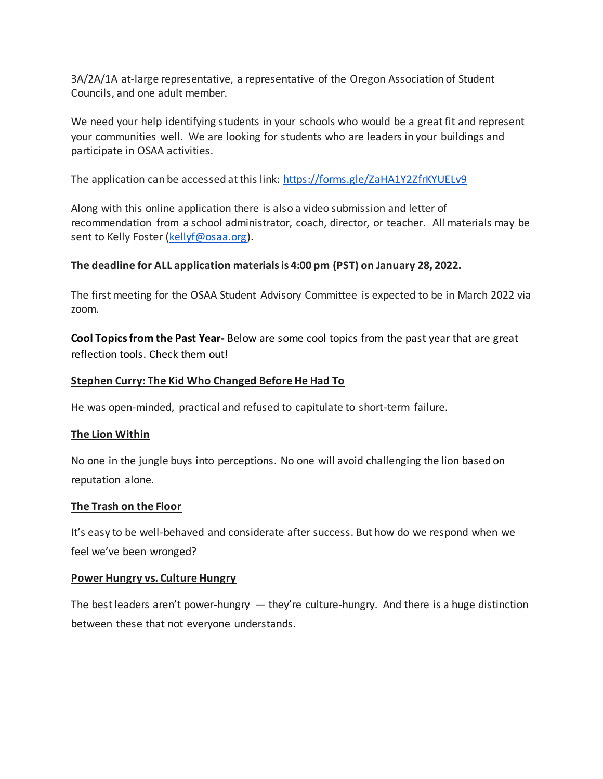3A/2A/1A at-large representative, a representative of the Oregon Association of Student Councils, and one adult member.

We need your help identifying students in your schools who would be a great fit and represent your communities well. We are looking for students who are leaders in your buildings and participate in OSAA activities.

The application can be accessed at this link: <https://forms.gle/ZaHA1Y2ZfrKYUELv9>

Along with this online application there is also a video submission and letter of recommendation from a school administrator, coach, director, or teacher. All materials may be sent to Kelly Foster [\(kellyf@osaa.org\)](mailto:kellyf@osaa.org).

# **The deadline for ALL application materials is 4:00 pm (PST) on January 28, 2022.**

The first meeting for the OSAA Student Advisory Committee is expected to be in March 2022 via zoom.

**Cool Topics from the Past Year-** Below are some cool topics from the past year that are great reflection tools. Check them out!

# **[Stephen Curry: The Kid Who Changed Before He Had To](https://email.mg2.substack.com/c/eJxVkE1uxCAMhU8z7BIFhvywYNFNr4EIOAlqAgicjnL7eprVCLBkPazn9zmLsKZy6ZwqsncxeGXQEV51B0Qo7KxQTPB65OOoJsW8lp5P_cRCNUsBOGzYNZYTWD7nPTiLIcX3ABfjINimORdKjJ4Ot9BLL5_zDLDIhSuYFhhvW3v6ANGBhl8oV4rAdr0h5vp4fj3EN13cwJPX5ZJ1W1vPuaJ1P61LB4mZXkXIG8TGnaVcDX1vfoJvXltq3GbjCp4FLTpB-wjFRdc9-1a03aLkPAhJvVL9aNvQZxfStTxkd6ziw4cVfcS020hazrWNgO_QhqTjjAEvA9HOO_ibB95U_wmZFSIUou2NRc0H2RFNMRDQ4c5PwOQghp5LzsjTJ5qK-iPzH2oRkho)**

He was open-minded, practical and refused to capitulate to short-term failure.

## **[The Lion Within](https://email.mg2.substack.com/c/eJxVkMGOhCAMhp9muI2RiigHDnvZ1zAIdSSrQKDuxLdfXE-TNE2av-2f_7OG8BXzqVMsxK420ZlQB3yXDYkws6NgnrzTAx8GNSrmtHB87Efmy7RkxN34TVM-kKVj3rw15GO4DjgMEtiqRdcrkOhw7GY5zr0DB7h0XHFpjRD8tjWH8xgsavzFfMaAbNMrUSqP7usB37VoRVe9ThuNXZtyzIWM_Wls3KuY7oXnVs2fb0-rD087I_MaWuAcQHFo265voGkXJWYJos5K9YNpfJ-sj-fyEO3-go_PLOs9xM2EqqVUmoB0xZyqtB_B0zlhMPOG7iZAN8d_JtMLA-bK102GNJeirfxAVoTyTlwRCQmy5xVB9XSxXgX9kfIPR7aMGg)**

No one in the jungle buys into perceptions. No one will avoid challenging the lion based on reputation alone.

## **[The Trash on the Floor](https://email.mg2.substack.com/c/eJxVkMGOhCAMhp9muI0RRJQDh7nsaxCEOpJFIFB349svrqdJmibN3_bP_1mD8E7lVDlVJFfTeGZQEX5rAEQo5KhQtHdqotMkZ0mc4o7O40x81WsB2I0PCssBJB9L8NagT_E6oGwSjGzKjr1lYhiGxQg72MWZeeaSCruKFVZOb1tzOA_RgoIfKGeKQILaEHN9DK8H-2qFG7jmddpk7NbVY6lo7Hdn097EfC88sZi6PVN8XsMaUirEK9YzShmTlPX9MHas61fJF8F4m6UcJ9P5MVufzvXB-_3NPp6TovaYgolNy7l2EfBKqpu0H9HjqSGaJYC7IeCN8h-LfkOE0hA7bVBRwfuGkIlGUdyhGyUumBhpo9A8XWpXUX0E_QOm9o3D)**

It's easy to be well-behaved and considerate after success. But how do we respond when we feel we've been wronged?

## **[Power Hungry vs. Culture Hungry](https://email.mg2.substack.com/c/eJxVkMGOhCAMhp9muI2RDooeOOxlX8Mg1JGsAoEyE99-cd3LJG2T9k_z5_-MJnyGdKgYMrFzTHREVB7feUMiTKxkTJOzSnIpx2FkVgnLh25gLk9LQty12xSlgiyWeXNGkwv-fOAge2Cr0lzbAXAY5AhCDEvHJUg-ioe0em6lvWx1sQ69QYUvTEfwyDa1EsV8e3zd4LsWrWir12GCNmuTy5xJm5_GhL2K8ezwxnRfi3-m4_7Kd1M2Kgn_L8wpaIFzgJFD2z66Bpp2GcXcg6j7OHZSN66LxoVjuYl2f8KHCUtq92HTvmox5sYjnYmnKu3FOzom9Hre0F4w6EL6h2d6osdUUdtJk-K9aCtK6CvN_gpfaYke-o4LzqqnDfXLq4_Av-vhkJQ)**

The best leaders aren't power-hungry  $-$  they're culture-hungry. And there is a huge distinction between these that not everyone understands.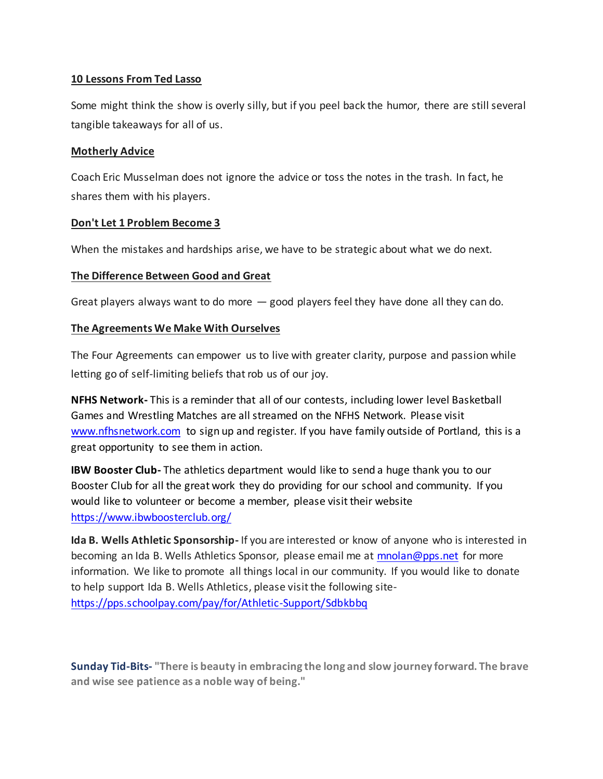# **[10 Lessons From Ted Lasso](https://email.mg2.substack.com/c/eJxVkMGOhCAMhp9muI0RRJQDh73sa5gKdSSrQKDuxLdfXE-TNE2av-2f_7NA-Ir5NCkWYleb6ExoAr7LhkSY2VEwT96ZgQ-DHjVzRjo-9iPzZVoy4g5-M5QPZOmYN2-BfAzXAReDEmw10LXSaaFncAj9Yh1YpS3y0XZDj2q-beFwHoNFg7-YzxiQbWYlSuXRfT3Edy1a0VWv00awa1OOuRDYn8bGvYrpXnhuUEp8vuFk3ohWcC6E5qJtu74RTbtoOSsh66x1P0Dj-2R9PJeHbPeX-PjJstlD3CBULaXSBKQr4FSl_QiezgkDzBu6OzvdBP9pTC8MmCtZNwEZrmRbyQlV4ak7a4UjlVA9l5xVTxfrVTAf-f4AJyWLDg)**

Some might think the show is overly silly, but if you peel back the humor, there are still several tangible takeaways for all of us.

## **[Motherly Advice](https://email.mg2.substack.com/c/eJxVkEFuxCAMRU8z7BrFBEiyYNFNr4EIOBPUBBA4U-X2ZZpVJdsS-jZf_zlL-Ezl0jlVYu9h6MqoI_7UHYmwsLNiMcHrEcZxnmbmtfAwyYmFataCeNiwayonsnwue3CWQorvA-Cj4mzT4AAUCje5aUYJwwp2WXDy3nkJ0wC3rT19wOhQ4wvLlSKyXW9EuT6Gzwf_akUb-uZ1uWTd1tVzqWTdd-fS0cTc-khtpezXh_Wv4JAFzXsOwPkMvO8H2fGuX2exKC7ae57laLsgswvpWh-iP57836-s6COm3cam5Vy7iPSOaJp0nDHQZTDaZUd_p6eb4R8P88SIpbH1xpIGJfrGjquGT91pGx6huJIggDVPn9pV1P8S_gLTpot3)**

Coach Eric Musselman does not ignore the advice or toss the notes in the trash. In fact, he shares them with his players.

# **[Don't Let 1 Problem Become 3](https://email.mg2.substack.com/c/eJxVkEGOhCAQRU_T7DRAgzQLFrOZaxiEUkkrEMDpePspx9UkRSXkV-XXf842WFI5TU61kauN7cxgInzqBq1BIUeFMgZvFFNKvzTxRnj2ki8S6jgXgN2GzbRyAMnHtAVnW0jxWmBcDZysRlCp9ewUlUxLDpPWljP6tMpOTmunblt7-ADRgYEfKGeKQDaztpbr4_n14N9YbQWPXqdL1q19PabarHv3Lu0oZnwxuHdX7WRjh7PdYmuHI9c53SeVN2YJhlPOGOeacUqfsuc9nbWYBi7wr7VUtg8yu5DO-SHovvB_PqSYPabNRtRyrn2EdoUeUdqPGNo5QrTTBv7m0W6qf4TGBSIUpO1H2wwbBEWafECgw50fgYmBD5IJRtDTJ9yK5l_mX3pTkVw)**

When the mistakes and hardships arise, we have to be strategic about what we do next.

# **[The Difference Between Good and Great](https://email.mg2.substack.com/c/eJxVkM2OhSAMhZ_mstMAIuqCxWzmNQw_VckoEKhz49sPjqubNE2a0_bkfFYjrDFfKsWC5G4zXglUgHfZAREyOQvk2Ts1sGGYxok4JRwb-5H4Mi8Z4NB-V5hPIOk0u7cafQz3AeOD5GRT3WAcFR1AZ8bRLMMotesGp6msDbR-bPXpPAQLCn4hXzEA2dWGmMqr-3rx71q4gatel43abm05TUFtf1objyqmZ6Fxflkg348aA_gGCM0ao2t0cM2aQSPxilPOGOcT45R2fctbukzCSC7qPE39oFvfJ-vjtbwEPVb-4UWyOkLcdahaSqUNgHfwuUrHGTxeMwRtdnAPE3zI_lOaVwiQK3E3a1RMClqJclmhyodBhSYklz0TjFRPF-tVUB-5_wAsFpPU)**

Great players always want to do more  $-$  good players feel they have done all they can do.

# **[The Agreements We Make With Ourselves](https://email.mg2.substack.com/c/eJxVkMGuhCAMRb9m2GkEEWTB4m3ebxiEOpJRIFBn4t8_fK4maZo0t83tPdYgPGM-dYoFydUmPBPoAJ-yASJkchTIk3daUinVqIjT3NFxGIkv05IBduM3jfkAko5589agj-E6oEwKRlYNdlGSciq5691ieilHwY1zYlAwSmdvW3M4D8GChjfkMwYgm14RU3n0Pw_2WwtXcNXrtNHYtS3HXNDYV2vjXsV0LzTmeb0EAUvzgWY3L2g-HtcmHrnA9obSCL4Qr1nHKGVMUdZ1_dCytlsUnwXjdVZqkKb1Q7I-nsuDd_uTffmRrPcQNxOqllJpA-AVfqrSfgSP5wTBzBu4mwvedP9JTU8IkCt1NxnUVPCuUmWighU3hwqOCyaGCoxUTxfrVdBf2f8AAgCUwg)**

The Four Agreements can empower us to live with greater clarity, purpose and passion while letting go of self-limiting beliefs that rob us of our joy.

**NFHS Network-** This is a reminder that all of our contests, including lower level Basketball Games and Wrestling Matches are all streamed on the NFHS Network. Please visit [www.nfhsnetwork.com](http://www.nfhsnetwork.com/) to sign up and register. If you have family outside of Portland, this is a great opportunity to see them in action.

**IBW Booster Club-** The athletics department would like to send a huge thank you to our Booster Club for all the great work they do providing for our school and community. If you would like to volunteer or become a member, please visit their website <https://www.ibwboosterclub.org/>

**Ida B. Wells Athletic Sponsorship-** If you are interested or know of anyone who is interested in becoming an Ida B. Wells Athletics Sponsor, please email me at **mnolan@pps.net** for more information. We like to promote all things local in our community. If you would like to donate to help support Ida B. Wells Athletics, please visit the following site<https://pps.schoolpay.com/pay/for/Athletic-Support/Sdbkbbq>

**Sunday Tid-Bits- "There is beauty in embracing the long and slow journey forward. The brave and wise see patience as a noble way of being."**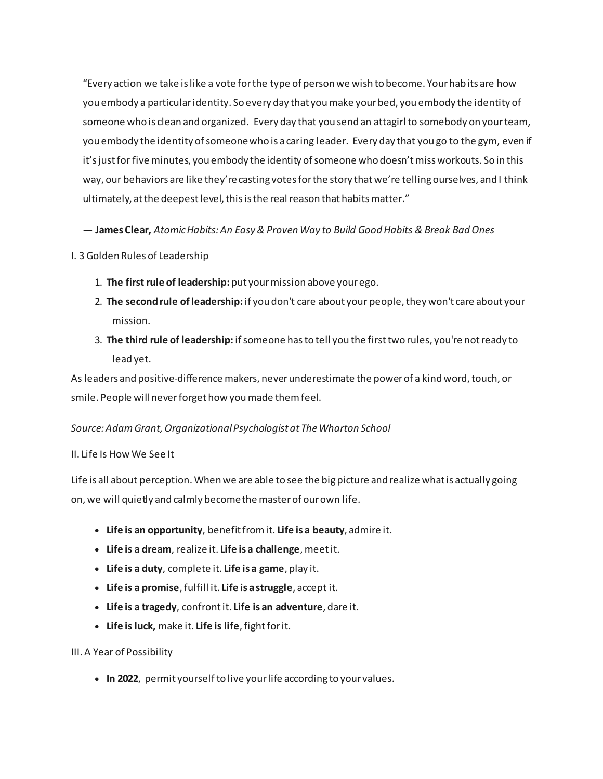"Every action we take is like a vote for the type of person we wish to become. Your habits are how you embody a particular identity. So every day that you make your bed, you embody the identity of someone who is clean and organized. Every day that you send an attagirl to somebody on your team, you embody the identity of someone who is a caring leader. Every day that you go to the gym, even if it's just for five minutes, you embody the identity of someone who doesn't miss workouts. So in this way, our behaviors are like they're casting votes for the story that we're telling ourselves, and I think ultimately, at the deepest level, this is the real reason that habits matter."

**― James Clear,** *Atomic Habits: An Easy & Proven Way to Build Good Habits & Break Bad Ones*

#### I. 3 Golden Rules of Leadership

- 1. **The first rule of leadership:** put your mission above your ego.
- 2. **The second rule of leadership:** if you don't care about your people, they won't care about your mission.
- 3. **The third rule of leadership:** if someone has to tell you the first two rules, you're not ready to lead yet.

As leaders and positive-difference makers, never underestimate the power of a kind word, touch, or smile. People will never forget how you made them feel.

## *Source: Adam Grant, Organizational Psychologist at The Wharton School*

#### II. Life Is How We See It

Life is all about perception. When we are able to see the big picture and realize what is actually going on, we will quietly and calmly become the master of our own life.

- **Life is an opportunity**, benefit from it. **Life is a beauty**, admire it.
- **Life is a dream**, realize it. **Life is a challenge**, meet it.
- **Life is a duty**, complete it. **Life is a game**, play it.
- **Life is a promise**, fulfill it. **Life is a struggle**, accept it.
- **Life is a tragedy**, confront it. **Life is an adventure**, dare it.
- **Life is luck,** make it. **Life is life**, fight for it.

#### III. A Year of Possibility

• **In 2022**, permit yourself to live your life according to your values.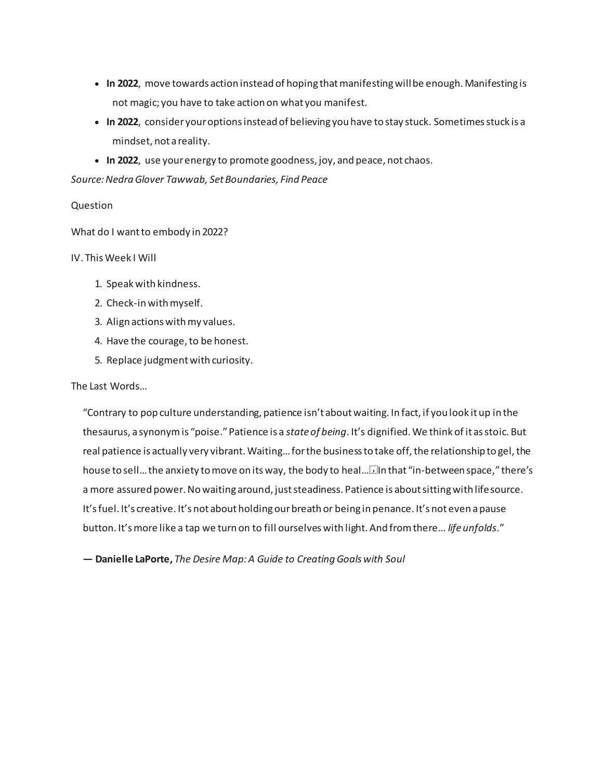- **In 2022**, move towards action instead of hoping that manifesting will be enough. Manifesting is not magic; you have to take action on what you manifest.
- **In 2022**, consider your options instead of believing you have to stay stuck. Sometimes stuck is a mindset, not a reality.
- **In 2022**, use your energy to promote goodness, joy, and peace, not chaos.

*Source: Nedra Glover Tawwab, Set Boundaries, Find Peace*

#### Question

What do I want to embody in 2022?

#### IV. This Week I Will

- 1. Speak with kindness.
- 2. Check-in with myself.
- 3. Align actions with my values.
- 4. Have the courage, to be honest.
- 5. Replace judgment with curiosity.

#### The Last Words…

"Contrary to pop culture understanding, patience isn't about waiting. In fact, if you look it up in the thesaurus, a synonym is "poise." Patience is a *state of being*. It's dignified. We think of it as stoic. But real patience is actually very vibrant. Waiting… for the business to take off, the relationship to gel, the house to sell... the anxiety to move on its way, the body to heal...... In that "in-between space," there's a more assured power. No waiting around, just steadiness. Patience is about sitting with life source. It's fuel. It's creative. It's not about holding our breath or being in penance. It's not even a pause button. It's more like a tap we turn on to fill ourselves with light. And from there… *life unfolds*."

**― Danielle LaPorte,** *The Desire Map: A Guide to Creating Goals with Soul*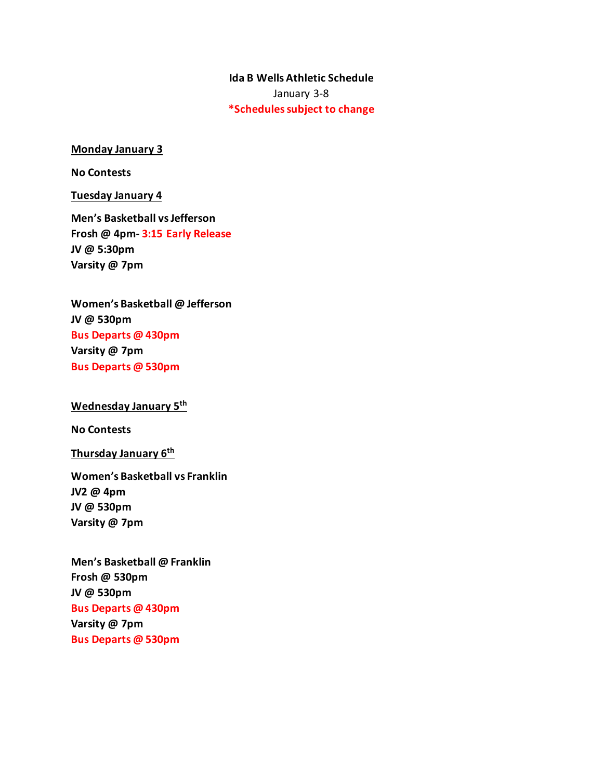# **Ida B Wells Athletic Schedule** January 3-8 **\*Schedules subject to change**

#### **Monday January 3**

**No Contests**

**Tuesday January 4**

**Men's Basketball vs Jefferson Frosh @ 4pm- 3:15 Early Release JV @ 5:30pm Varsity @ 7pm**

**Women's Basketball @ Jefferson JV @ 530pm Bus Departs @ 430pm Varsity @ 7pm Bus Departs @ 530pm**

**Wednesday January 5th**

**No Contests**

**Thursday January 6th**

**Women's Basketball vs Franklin JV2 @ 4pm JV @ 530pm Varsity @ 7pm**

**Men's Basketball @ Franklin Frosh @ 530pm JV @ 530pm Bus Departs @ 430pm Varsity @ 7pm Bus Departs @ 530pm**